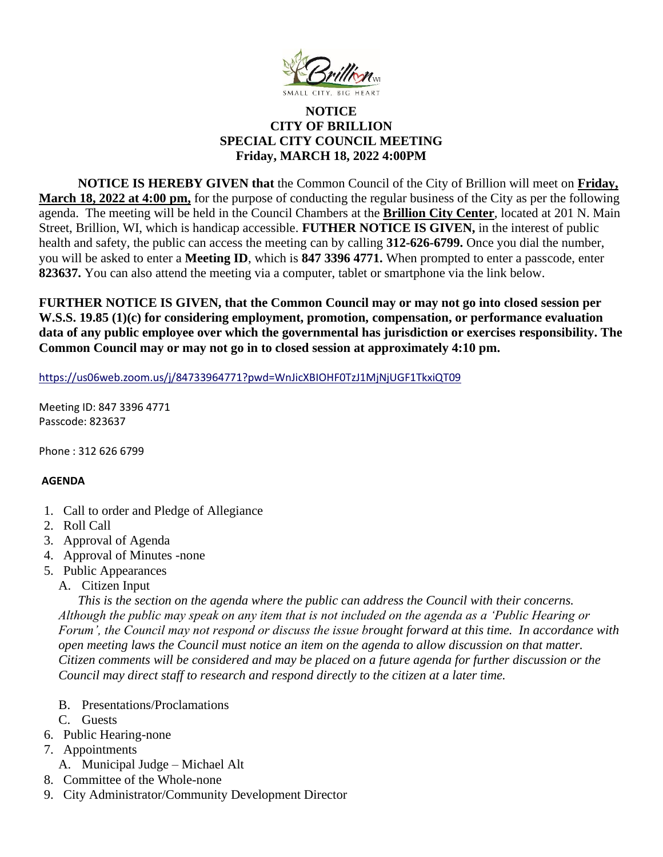

## **NOTICE CITY OF BRILLION SPECIAL CITY COUNCIL MEETING Friday, MARCH 18, 2022 4:00PM**

**NOTICE IS HEREBY GIVEN that** the Common Council of the City of Brillion will meet on **Friday, March 18, 2022 at 4:00 pm,** for the purpose of conducting the regular business of the City as per the following agenda. The meeting will be held in the Council Chambers at the **Brillion City Center**, located at 201 N. Main Street, Brillion, WI, which is handicap accessible. **FUTHER NOTICE IS GIVEN,** in the interest of public health and safety, the public can access the meeting can by calling **312-626-6799.** Once you dial the number, you will be asked to enter a **Meeting ID**, which is **847 3396 4771.** When prompted to enter a passcode, enter **823637.** You can also attend the meeting via a computer, tablet or smartphone via the link below.

**FURTHER NOTICE IS GIVEN, that the Common Council may or may not go into closed session per W.S.S. 19.85 (1)(c) for considering employment, promotion, compensation, or performance evaluation data of any public employee over which the governmental has jurisdiction or exercises responsibility. The Common Council may or may not go in to closed session at approximately 4:10 pm.**

<https://us06web.zoom.us/j/84733964771?pwd=WnJicXBIOHF0TzJ1MjNjUGF1TkxiQT09>

Meeting ID: 847 3396 4771 Passcode: 823637

Phone : 312 626 6799

## **AGENDA**

- 1. Call to order and Pledge of Allegiance
- 2. Roll Call
- 3. Approval of Agenda
- 4. Approval of Minutes -none
- 5. Public Appearances
	- A. Citizen Input

*This is the section on the agenda where the public can address the Council with their concerns. Although the public may speak on any item that is not included on the agenda as a 'Public Hearing or Forum', the Council may not respond or discuss the issue brought forward at this time. In accordance with open meeting laws the Council must notice an item on the agenda to allow discussion on that matter. Citizen comments will be considered and may be placed on a future agenda for further discussion or the Council may direct staff to research and respond directly to the citizen at a later time.* 

- B. Presentations/Proclamations
- C. Guests
- 6. Public Hearing-none
- 7. Appointments
- A. Municipal Judge Michael Alt
- 8. Committee of the Whole-none
- 9. City Administrator/Community Development Director